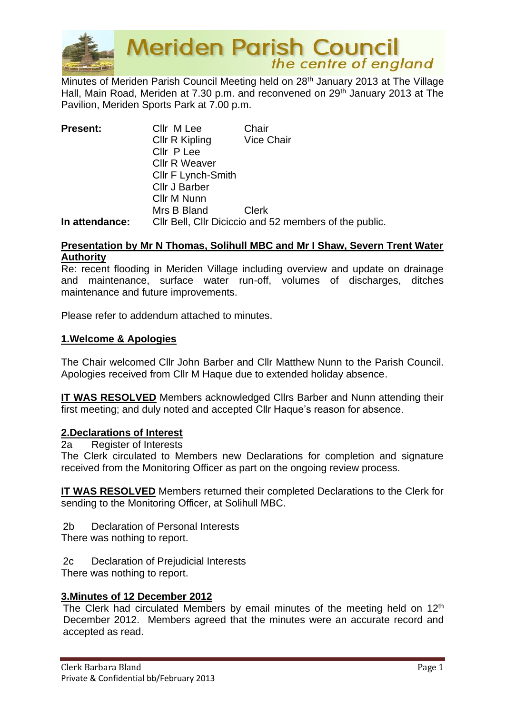

**Meriden Parish Council**<br>the centre of england

Minutes of Meriden Parish Council Meeting held on 28<sup>th</sup> January 2013 at The Village Hall, Main Road, Meriden at 7.30 p.m. and reconvened on 29<sup>th</sup> January 2013 at The Pavilion, Meriden Sports Park at 7.00 p.m.

| <b>Present:</b> | Cllr M Lee                                             | Chair             |
|-----------------|--------------------------------------------------------|-------------------|
|                 | Cllr R Kipling                                         | <b>Vice Chair</b> |
|                 | Cllr P Lee                                             |                   |
|                 | <b>Cllr R Weaver</b>                                   |                   |
|                 | <b>CIIr F Lynch-Smith</b>                              |                   |
|                 | Cllr J Barber                                          |                   |
|                 | Cllr M Nunn                                            |                   |
|                 | Mrs B Bland                                            | <b>Clerk</b>      |
| In attendance:  | CIIr Bell, CIIr Diciccio and 52 members of the public. |                   |

#### **Presentation by Mr N Thomas, Solihull MBC and Mr I Shaw, Severn Trent Water Authority**

Re: recent flooding in Meriden Village including overview and update on drainage and maintenance, surface water run-off, volumes of discharges, ditches maintenance and future improvements.

Please refer to addendum attached to minutes.

#### **1.Welcome & Apologies**

The Chair welcomed Cllr John Barber and Cllr Matthew Nunn to the Parish Council. Apologies received from Cllr M Haque due to extended holiday absence.

**IT WAS RESOLVED** Members acknowledged Cllrs Barber and Nunn attending their first meeting; and duly noted and accepted Cllr Haque's reason for absence.

#### **2.Declarations of Interest**

2a Register of Interests

The Clerk circulated to Members new Declarations for completion and signature received from the Monitoring Officer as part on the ongoing review process.

**IT WAS RESOLVED** Members returned their completed Declarations to the Clerk for sending to the Monitoring Officer, at Solihull MBC.

2b Declaration of Personal Interests

There was nothing to report.

2c Declaration of Prejudicial Interests There was nothing to report.

#### **3.Minutes of 12 December 2012**

The Clerk had circulated Members by email minutes of the meeting held on 12<sup>th</sup> December 2012. Members agreed that the minutes were an accurate record and accepted as read.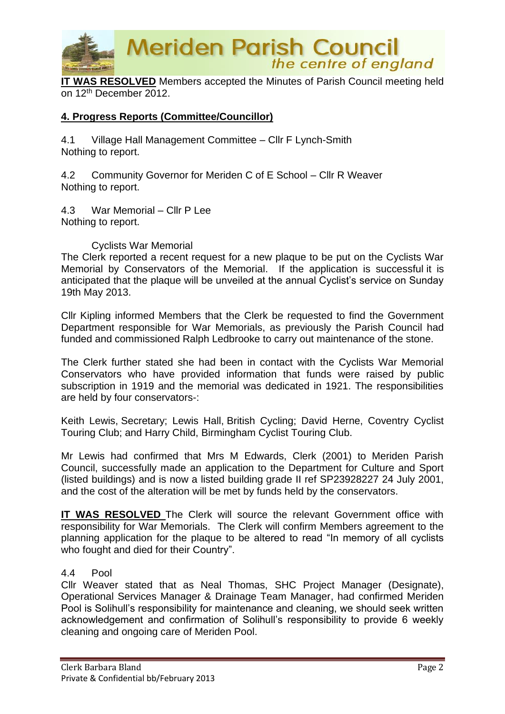

**IT WAS RESOLVED** Members accepted the Minutes of Parish Council meeting held on 12th December 2012.

# **4. Progress Reports (Committee/Councillor)**

4.1 Village Hall Management Committee – Cllr F Lynch-Smith Nothing to report.

4.2 Community Governor for Meriden C of E School – Cllr R Weaver Nothing to report.

4.3 War Memorial – Cllr P Lee Nothing to report.

Cyclists War Memorial

The Clerk reported a recent request for a new plaque to be put on the Cyclists War Memorial by Conservators of the Memorial. If the application is successful it is anticipated that the plaque will be unveiled at the annual Cyclist's service on Sunday 19th May 2013.

Cllr Kipling informed Members that the Clerk be requested to find the Government Department responsible for War Memorials, as previously the Parish Council had funded and commissioned Ralph Ledbrooke to carry out maintenance of the stone.

The Clerk further stated she had been in contact with the Cyclists War Memorial Conservators who have provided information that funds were raised by public subscription in 1919 and the memorial was dedicated in 1921. The responsibilities are held by four conservators-:

Keith Lewis, Secretary; Lewis Hall, British Cycling; David Herne, Coventry Cyclist Touring Club; and Harry Child, Birmingham Cyclist Touring Club.

Mr Lewis had confirmed that Mrs M Edwards, Clerk (2001) to Meriden Parish Council, successfully made an application to the Department for Culture and Sport (listed buildings) and is now a listed building grade II ref SP23928227 24 July 2001, and the cost of the alteration will be met by funds held by the conservators.

**IT WAS RESOLVED** The Clerk will source the relevant Government office with responsibility for War Memorials. The Clerk will confirm Members agreement to the planning application for the plaque to be altered to read "In memory of all cyclists who fought and died for their Country".

#### 4.4 Pool

Cllr Weaver stated that as Neal Thomas, SHC Project Manager (Designate), Operational Services Manager & Drainage Team Manager, had confirmed Meriden Pool is Solihull's responsibility for maintenance and cleaning, we should seek written acknowledgement and confirmation of Solihull's responsibility to provide 6 weekly cleaning and ongoing care of Meriden Pool.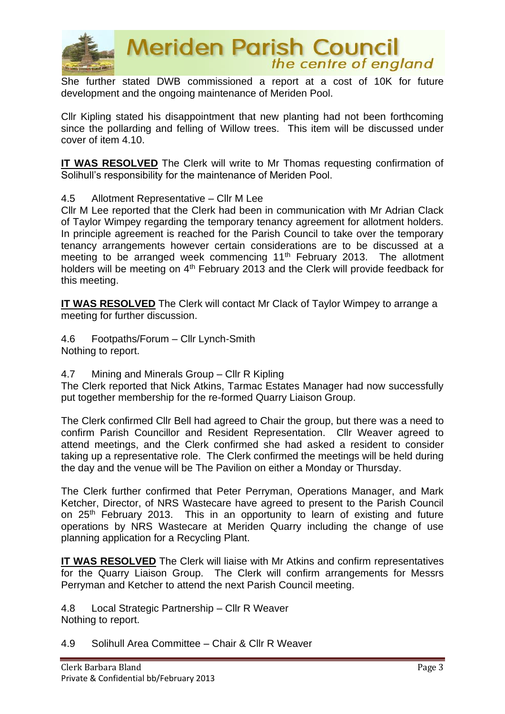

She further stated DWB commissioned a report at a cost of 10K for future development and the ongoing maintenance of Meriden Pool.

Cllr Kipling stated his disappointment that new planting had not been forthcoming since the pollarding and felling of Willow trees. This item will be discussed under cover of item 4.10.

**IT WAS RESOLVED** The Clerk will write to Mr Thomas requesting confirmation of Solihull's responsibility for the maintenance of Meriden Pool.

4.5 Allotment Representative – Cllr M Lee

Cllr M Lee reported that the Clerk had been in communication with Mr Adrian Clack of Taylor Wimpey regarding the temporary tenancy agreement for allotment holders. In principle agreement is reached for the Parish Council to take over the temporary tenancy arrangements however certain considerations are to be discussed at a meeting to be arranged week commencing 11<sup>th</sup> February 2013. The allotment holders will be meeting on 4<sup>th</sup> February 2013 and the Clerk will provide feedback for this meeting.

**IT WAS RESOLVED** The Clerk will contact Mr Clack of Taylor Wimpey to arrange a meeting for further discussion.

4.6 Footpaths/Forum – Cllr Lynch-Smith Nothing to report.

4.7 Mining and Minerals Group – Cllr R Kipling

The Clerk reported that Nick Atkins, Tarmac Estates Manager had now successfully put together membership for the re-formed Quarry Liaison Group.

The Clerk confirmed Cllr Bell had agreed to Chair the group, but there was a need to confirm Parish Councillor and Resident Representation. Cllr Weaver agreed to attend meetings, and the Clerk confirmed she had asked a resident to consider taking up a representative role. The Clerk confirmed the meetings will be held during the day and the venue will be The Pavilion on either a Monday or Thursday.

The Clerk further confirmed that Peter Perryman, Operations Manager, and Mark Ketcher, Director, of NRS Wastecare have agreed to present to the Parish Council on 25th February 2013. This in an opportunity to learn of existing and future operations by NRS Wastecare at Meriden Quarry including the change of use planning application for a Recycling Plant.

**IT WAS RESOLVED** The Clerk will liaise with Mr Atkins and confirm representatives for the Quarry Liaison Group. The Clerk will confirm arrangements for Messrs Perryman and Ketcher to attend the next Parish Council meeting.

4.8 Local Strategic Partnership – Cllr R Weaver Nothing to report.

4.9 Solihull Area Committee – Chair & Cllr R Weaver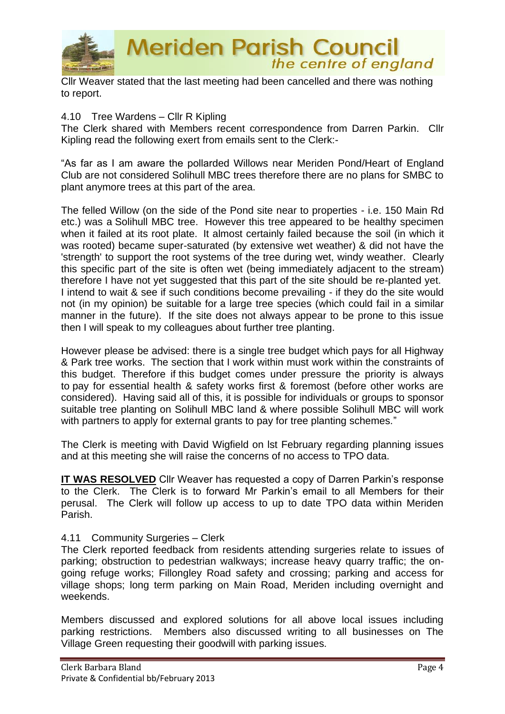

Cllr Weaver stated that the last meeting had been cancelled and there was nothing to report.

#### 4.10 Tree Wardens – Cllr R Kipling

The Clerk shared with Members recent correspondence from Darren Parkin. Cllr Kipling read the following exert from emails sent to the Clerk:-

"As far as I am aware the pollarded Willows near Meriden Pond/Heart of England Club are not considered Solihull MBC trees therefore there are no plans for SMBC to plant anymore trees at this part of the area.

The felled Willow (on the side of the Pond site near to properties - i.e. 150 Main Rd etc.) was a Solihull MBC tree. However this tree appeared to be healthy specimen when it failed at its root plate. It almost certainly failed because the soil (in which it was rooted) became super-saturated (by extensive wet weather) & did not have the 'strength' to support the root systems of the tree during wet, windy weather. Clearly this specific part of the site is often wet (being immediately adjacent to the stream) therefore I have not yet suggested that this part of the site should be re-planted yet. I intend to wait & see if such conditions become prevailing - if they do the site would not (in my opinion) be suitable for a large tree species (which could fail in a similar manner in the future). If the site does not always appear to be prone to this issue then I will speak to my colleagues about further tree planting.

However please be advised: there is a single tree budget which pays for all Highway & Park tree works. The section that I work within must work within the constraints of this budget. Therefore if this budget comes under pressure the priority is always to pay for essential health & safety works first & foremost (before other works are considered). Having said all of this, it is possible for individuals or groups to sponsor suitable tree planting on Solihull MBC land & where possible Solihull MBC will work with partners to apply for external grants to pay for tree planting schemes."

The Clerk is meeting with David Wigfield on lst February regarding planning issues and at this meeting she will raise the concerns of no access to TPO data.

**IT WAS RESOLVED** Cllr Weaver has requested a copy of Darren Parkin's response to the Clerk. The Clerk is to forward Mr Parkin's email to all Members for their perusal. The Clerk will follow up access to up to date TPO data within Meriden Parish.

#### 4.11 Community Surgeries – Clerk

The Clerk reported feedback from residents attending surgeries relate to issues of parking; obstruction to pedestrian walkways; increase heavy quarry traffic; the ongoing refuge works; Fillongley Road safety and crossing; parking and access for village shops; long term parking on Main Road, Meriden including overnight and weekends.

Members discussed and explored solutions for all above local issues including parking restrictions. Members also discussed writing to all businesses on The Village Green requesting their goodwill with parking issues.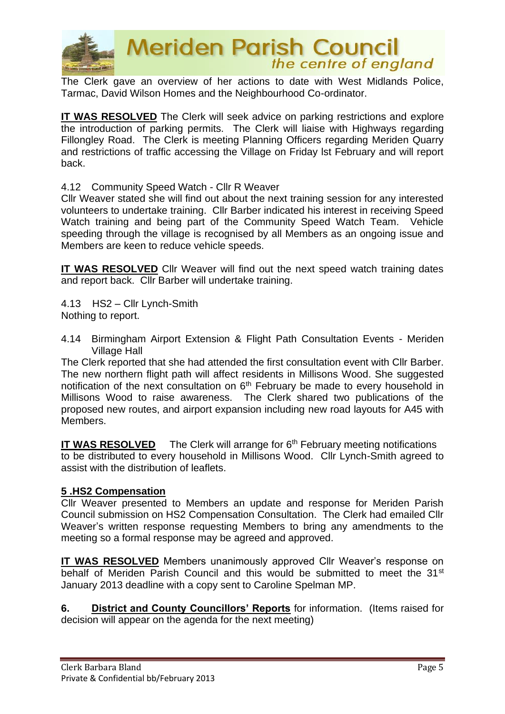

The Clerk gave an overview of her actions to date with West Midlands Police, Tarmac, David Wilson Homes and the Neighbourhood Co-ordinator.

**IT WAS RESOLVED** The Clerk will seek advice on parking restrictions and explore the introduction of parking permits. The Clerk will liaise with Highways regarding Fillongley Road. The Clerk is meeting Planning Officers regarding Meriden Quarry and restrictions of traffic accessing the Village on Friday lst February and will report back.

4.12 Community Speed Watch - Cllr R Weaver

Cllr Weaver stated she will find out about the next training session for any interested volunteers to undertake training. Cllr Barber indicated his interest in receiving Speed Watch training and being part of the Community Speed Watch Team. Vehicle speeding through the village is recognised by all Members as an ongoing issue and Members are keen to reduce vehicle speeds.

**IT WAS RESOLVED** Cllr Weaver will find out the next speed watch training dates and report back. Cllr Barber will undertake training.

4.13 HS2 – Cllr Lynch-Smith Nothing to report.

4.14 Birmingham Airport Extension & Flight Path Consultation Events - Meriden Village Hall

The Clerk reported that she had attended the first consultation event with Cllr Barber. The new northern flight path will affect residents in Millisons Wood. She suggested notification of the next consultation on  $6<sup>th</sup>$  February be made to every household in Millisons Wood to raise awareness. The Clerk shared two publications of the proposed new routes, and airport expansion including new road layouts for A45 with Members.

**IT WAS RESOLVED** The Clerk will arrange for 6<sup>th</sup> February meeting notifications to be distributed to every household in Millisons Wood. Cllr Lynch-Smith agreed to assist with the distribution of leaflets.

#### **5 .HS2 Compensation**

Cllr Weaver presented to Members an update and response for Meriden Parish Council submission on HS2 Compensation Consultation. The Clerk had emailed Cllr Weaver's written response requesting Members to bring any amendments to the meeting so a formal response may be agreed and approved.

**IT WAS RESOLVED** Members unanimously approved Cllr Weaver's response on behalf of Meriden Parish Council and this would be submitted to meet the  $31<sup>st</sup>$ January 2013 deadline with a copy sent to Caroline Spelman MP.

**6. District and County Councillors' Reports** for information. (Items raised for decision will appear on the agenda for the next meeting)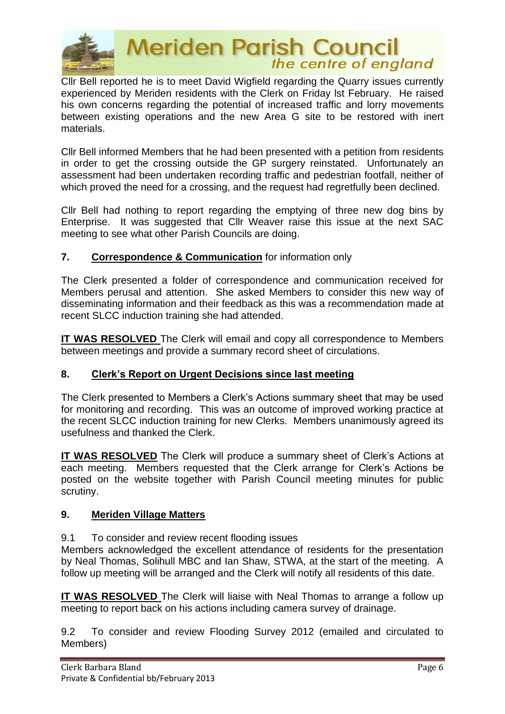

# **Meriden Parish Council**<br>the centre of england

Cllr Bell reported he is to meet David Wigfield regarding the Quarry issues currently experienced by Meriden residents with the Clerk on Friday lst February. He raised his own concerns regarding the potential of increased traffic and lorry movements between existing operations and the new Area G site to be restored with inert materials.

Cllr Bell informed Members that he had been presented with a petition from residents in order to get the crossing outside the GP surgery reinstated. Unfortunately an assessment had been undertaken recording traffic and pedestrian footfall, neither of which proved the need for a crossing, and the request had regretfully been declined.

Cllr Bell had nothing to report regarding the emptying of three new dog bins by Enterprise. It was suggested that Cllr Weaver raise this issue at the next SAC meeting to see what other Parish Councils are doing.

# **7. Correspondence & Communication** for information only

The Clerk presented a folder of correspondence and communication received for Members perusal and attention. She asked Members to consider this new way of disseminating information and their feedback as this was a recommendation made at recent SLCC induction training she had attended.

**IT WAS RESOLVED** The Clerk will email and copy all correspondence to Members between meetings and provide a summary record sheet of circulations.

# **8. Clerk's Report on Urgent Decisions since last meeting**

The Clerk presented to Members a Clerk's Actions summary sheet that may be used for monitoring and recording. This was an outcome of improved working practice at the recent SLCC induction training for new Clerks. Members unanimously agreed its usefulness and thanked the Clerk.

**IT WAS RESOLVED** The Clerk will produce a summary sheet of Clerk's Actions at each meeting. Members requested that the Clerk arrange for Clerk's Actions be posted on the website together with Parish Council meeting minutes for public scrutiny.

# **9. Meriden Village Matters**

9.1 To consider and review recent flooding issues

Members acknowledged the excellent attendance of residents for the presentation by Neal Thomas, Solihull MBC and Ian Shaw, STWA, at the start of the meeting. A follow up meeting will be arranged and the Clerk will notify all residents of this date.

**IT WAS RESOLVED** The Clerk will liaise with Neal Thomas to arrange a follow up meeting to report back on his actions including camera survey of drainage.

9.2 To consider and review Flooding Survey 2012 (emailed and circulated to Members)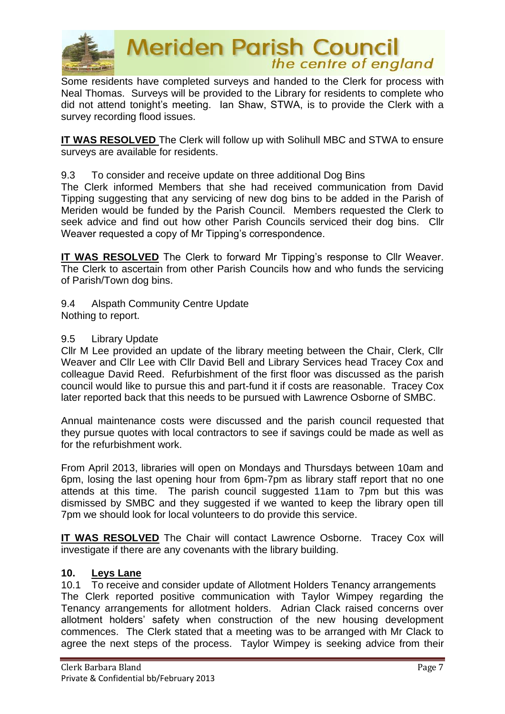

Some residents have completed surveys and handed to the Clerk for process with Neal Thomas. Surveys will be provided to the Library for residents to complete who did not attend tonight's meeting. Ian Shaw, STWA, is to provide the Clerk with a survey recording flood issues.

**IT WAS RESOLVED** The Clerk will follow up with Solihull MBC and STWA to ensure surveys are available for residents.

9.3 To consider and receive update on three additional Dog Bins

The Clerk informed Members that she had received communication from David Tipping suggesting that any servicing of new dog bins to be added in the Parish of Meriden would be funded by the Parish Council. Members requested the Clerk to seek advice and find out how other Parish Councils serviced their dog bins. Cllr Weaver requested a copy of Mr Tipping's correspondence.

**IT WAS RESOLVED** The Clerk to forward Mr Tipping's response to Cllr Weaver. The Clerk to ascertain from other Parish Councils how and who funds the servicing of Parish/Town dog bins.

9.4 Alspath Community Centre Update Nothing to report.

### 9.5 Library Update

Cllr M Lee provided an update of the library meeting between the Chair, Clerk, Cllr Weaver and Cllr Lee with Cllr David Bell and Library Services head Tracey Cox and colleague David Reed. Refurbishment of the first floor was discussed as the parish council would like to pursue this and part-fund it if costs are reasonable. Tracey Cox later reported back that this needs to be pursued with Lawrence Osborne of SMBC.

Annual maintenance costs were discussed and the parish council requested that they pursue quotes with local contractors to see if savings could be made as well as for the refurbishment work.

From April 2013, libraries will open on Mondays and Thursdays between 10am and 6pm, losing the last opening hour from 6pm-7pm as library staff report that no one attends at this time. The parish council suggested 11am to 7pm but this was dismissed by SMBC and they suggested if we wanted to keep the library open till 7pm we should look for local volunteers to do provide this service.

**IT WAS RESOLVED** The Chair will contact Lawrence Osborne. Tracey Cox will investigate if there are any covenants with the library building.

#### **10. Leys Lane**

10.1 To receive and consider update of Allotment Holders Tenancy arrangements The Clerk reported positive communication with Taylor Wimpey regarding the Tenancy arrangements for allotment holders. Adrian Clack raised concerns over allotment holders' safety when construction of the new housing development commences. The Clerk stated that a meeting was to be arranged with Mr Clack to agree the next steps of the process. Taylor Wimpey is seeking advice from their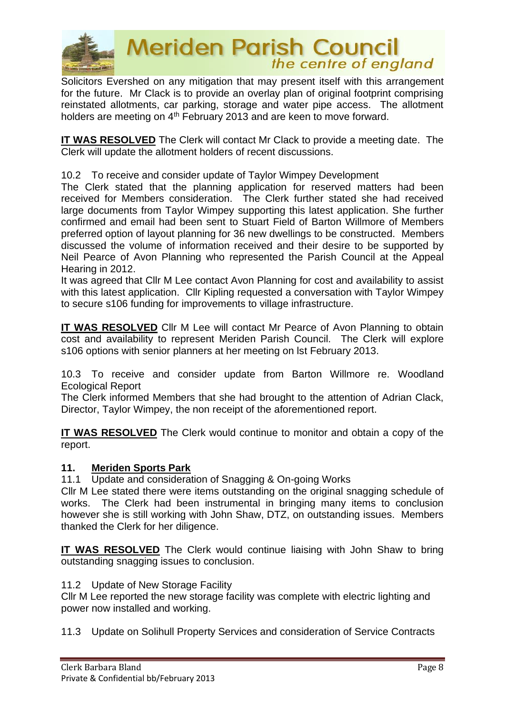

Solicitors Evershed on any mitigation that may present itself with this arrangement for the future. Mr Clack is to provide an overlay plan of original footprint comprising reinstated allotments, car parking, storage and water pipe access. The allotment holders are meeting on 4<sup>th</sup> February 2013 and are keen to move forward.

**IT WAS RESOLVED** The Clerk will contact Mr Clack to provide a meeting date. The Clerk will update the allotment holders of recent discussions.

10.2 To receive and consider update of Taylor Wimpey Development

The Clerk stated that the planning application for reserved matters had been received for Members consideration. The Clerk further stated she had received large documents from Taylor Wimpey supporting this latest application. She further confirmed and email had been sent to Stuart Field of Barton Willmore of Members preferred option of layout planning for 36 new dwellings to be constructed. Members discussed the volume of information received and their desire to be supported by Neil Pearce of Avon Planning who represented the Parish Council at the Appeal Hearing in 2012.

It was agreed that Cllr M Lee contact Avon Planning for cost and availability to assist with this latest application. Cllr Kipling requested a conversation with Taylor Wimpey to secure s106 funding for improvements to village infrastructure.

**IT WAS RESOLVED** Cllr M Lee will contact Mr Pearce of Avon Planning to obtain cost and availability to represent Meriden Parish Council. The Clerk will explore s106 options with senior planners at her meeting on lst February 2013.

10.3 To receive and consider update from Barton Willmore re. Woodland Ecological Report

The Clerk informed Members that she had brought to the attention of Adrian Clack, Director, Taylor Wimpey, the non receipt of the aforementioned report.

**IT WAS RESOLVED** The Clerk would continue to monitor and obtain a copy of the report.

# **11. Meriden Sports Park**

11.1 Update and consideration of Snagging & On-going Works

Cllr M Lee stated there were items outstanding on the original snagging schedule of works. The Clerk had been instrumental in bringing many items to conclusion however she is still working with John Shaw, DTZ, on outstanding issues. Members thanked the Clerk for her diligence.

**IT WAS RESOLVED** The Clerk would continue liaising with John Shaw to bring outstanding snagging issues to conclusion.

# 11.2 Update of New Storage Facility

Cllr M Lee reported the new storage facility was complete with electric lighting and power now installed and working.

11.3 Update on Solihull Property Services and consideration of Service Contracts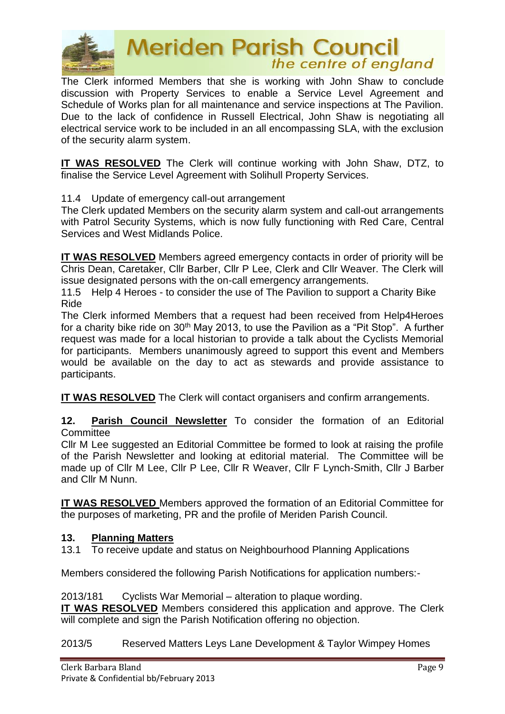

# **Meriden Parish Council** the centre of england

The Clerk informed Members that she is working with John Shaw to conclude discussion with Property Services to enable a Service Level Agreement and Schedule of Works plan for all maintenance and service inspections at The Pavilion. Due to the lack of confidence in Russell Electrical, John Shaw is negotiating all electrical service work to be included in an all encompassing SLA, with the exclusion of the security alarm system.

**IT WAS RESOLVED** The Clerk will continue working with John Shaw, DTZ, to finalise the Service Level Agreement with Solihull Property Services.

11.4 Update of emergency call-out arrangement

The Clerk updated Members on the security alarm system and call-out arrangements with Patrol Security Systems, which is now fully functioning with Red Care, Central Services and West Midlands Police.

**IT WAS RESOLVED** Members agreed emergency contacts in order of priority will be Chris Dean, Caretaker, Cllr Barber, Cllr P Lee, Clerk and Cllr Weaver. The Clerk will issue designated persons with the on-call emergency arrangements.

11.5 Help 4 Heroes - to consider the use of The Pavilion to support a Charity Bike Ride

The Clerk informed Members that a request had been received from Help4Heroes for a charity bike ride on 30<sup>th</sup> May 2013, to use the Pavilion as a "Pit Stop". A further request was made for a local historian to provide a talk about the Cyclists Memorial for participants. Members unanimously agreed to support this event and Members would be available on the day to act as stewards and provide assistance to participants.

**IT WAS RESOLVED** The Clerk will contact organisers and confirm arrangements.

**12. Parish Council Newsletter** To consider the formation of an Editorial **Committee** 

Cllr M Lee suggested an Editorial Committee be formed to look at raising the profile of the Parish Newsletter and looking at editorial material. The Committee will be made up of Cllr M Lee, Cllr P Lee, Cllr R Weaver, Cllr F Lynch-Smith, Cllr J Barber and Cllr M Nunn.

**IT WAS RESOLVED** Members approved the formation of an Editorial Committee for the purposes of marketing, PR and the profile of Meriden Parish Council.

#### **13. Planning Matters**

13.1 To receive update and status on Neighbourhood Planning Applications

Members considered the following Parish Notifications for application numbers:-

2013/181 Cyclists War Memorial – alteration to plaque wording.

**IT WAS RESOLVED** Members considered this application and approve. The Clerk will complete and sign the Parish Notification offering no objection.

2013/5 Reserved Matters Leys Lane Development & Taylor Wimpey Homes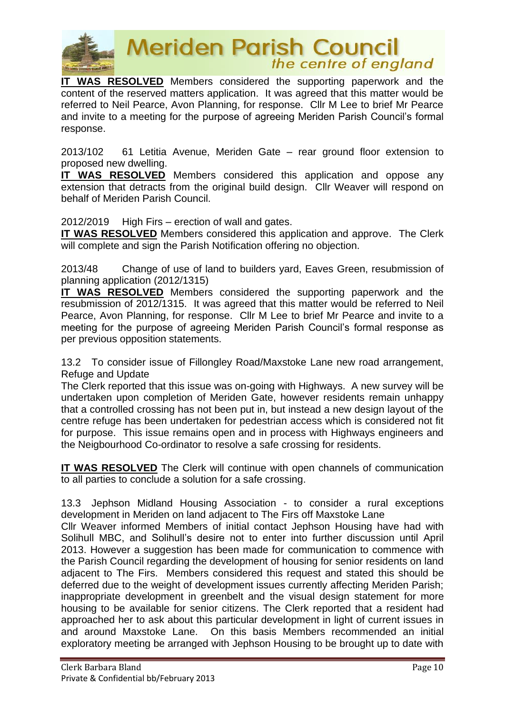

# **Meriden Parish Council**<br>the centre of england

**IT WAS RESOLVED** Members considered the supporting paperwork and the content of the reserved matters application. It was agreed that this matter would be referred to Neil Pearce, Avon Planning, for response. Cllr M Lee to brief Mr Pearce and invite to a meeting for the purpose of agreeing Meriden Parish Council's formal response.

2013/102 61 Letitia Avenue, Meriden Gate – rear ground floor extension to proposed new dwelling.

**IT WAS RESOLVED** Members considered this application and oppose any extension that detracts from the original build design. Cllr Weaver will respond on behalf of Meriden Parish Council.

2012/2019 High Firs – erection of wall and gates.

**IT WAS RESOLVED** Members considered this application and approve. The Clerk will complete and sign the Parish Notification offering no objection.

2013/48 Change of use of land to builders yard, Eaves Green, resubmission of planning application (2012/1315)

**IT WAS RESOLVED** Members considered the supporting paperwork and the resubmission of 2012/1315. It was agreed that this matter would be referred to Neil Pearce, Avon Planning, for response. Cllr M Lee to brief Mr Pearce and invite to a meeting for the purpose of agreeing Meriden Parish Council's formal response as per previous opposition statements.

13.2 To consider issue of Fillongley Road/Maxstoke Lane new road arrangement, Refuge and Update

The Clerk reported that this issue was on-going with Highways. A new survey will be undertaken upon completion of Meriden Gate, however residents remain unhappy that a controlled crossing has not been put in, but instead a new design layout of the centre refuge has been undertaken for pedestrian access which is considered not fit for purpose. This issue remains open and in process with Highways engineers and the Neigbourhood Co-ordinator to resolve a safe crossing for residents.

**IT WAS RESOLVED** The Clerk will continue with open channels of communication to all parties to conclude a solution for a safe crossing.

13.3 Jephson Midland Housing Association - to consider a rural exceptions development in Meriden on land adjacent to The Firs off Maxstoke Lane

Cllr Weaver informed Members of initial contact Jephson Housing have had with Solihull MBC, and Solihull's desire not to enter into further discussion until April 2013. However a suggestion has been made for communication to commence with the Parish Council regarding the development of housing for senior residents on land adjacent to The Firs. Members considered this request and stated this should be deferred due to the weight of development issues currently affecting Meriden Parish; inappropriate development in greenbelt and the visual design statement for more housing to be available for senior citizens. The Clerk reported that a resident had approached her to ask about this particular development in light of current issues in and around Maxstoke Lane. On this basis Members recommended an initial exploratory meeting be arranged with Jephson Housing to be brought up to date with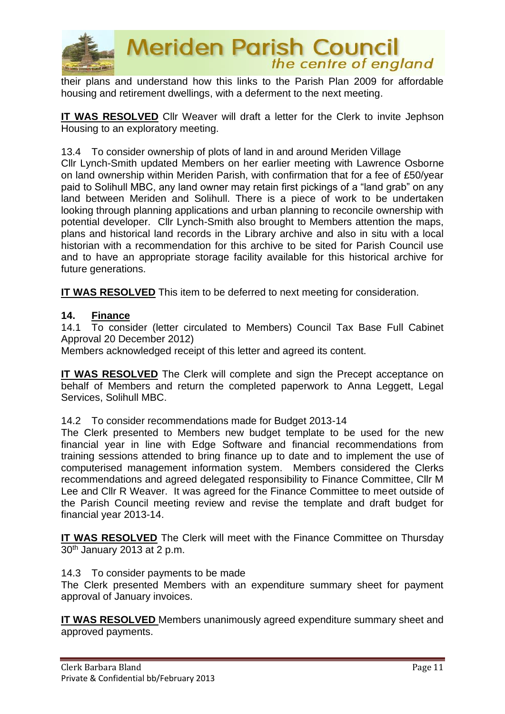

their plans and understand how this links to the Parish Plan 2009 for affordable housing and retirement dwellings, with a deferment to the next meeting.

**IT WAS RESOLVED** Cllr Weaver will draft a letter for the Clerk to invite Jephson Housing to an exploratory meeting.

13.4 To consider ownership of plots of land in and around Meriden Village

Cllr Lynch-Smith updated Members on her earlier meeting with Lawrence Osborne on land ownership within Meriden Parish, with confirmation that for a fee of £50/year paid to Solihull MBC, any land owner may retain first pickings of a "land grab" on any land between Meriden and Solihull. There is a piece of work to be undertaken looking through planning applications and urban planning to reconcile ownership with potential developer. Cllr Lynch-Smith also brought to Members attention the maps, plans and historical land records in the Library archive and also in situ with a local historian with a recommendation for this archive to be sited for Parish Council use and to have an appropriate storage facility available for this historical archive for future generations.

**IT WAS RESOLVED** This item to be deferred to next meeting for consideration.

#### **14. Finance**

14.1 To consider (letter circulated to Members) Council Tax Base Full Cabinet Approval 20 December 2012)

Members acknowledged receipt of this letter and agreed its content.

**IT WAS RESOLVED** The Clerk will complete and sign the Precept acceptance on behalf of Members and return the completed paperwork to Anna Leggett, Legal Services, Solihull MBC.

14.2 To consider recommendations made for Budget 2013-14

The Clerk presented to Members new budget template to be used for the new financial year in line with Edge Software and financial recommendations from training sessions attended to bring finance up to date and to implement the use of computerised management information system. Members considered the Clerks recommendations and agreed delegated responsibility to Finance Committee, Cllr M Lee and Cllr R Weaver. It was agreed for the Finance Committee to meet outside of the Parish Council meeting review and revise the template and draft budget for financial year 2013-14.

**IT WAS RESOLVED** The Clerk will meet with the Finance Committee on Thursday 30th January 2013 at 2 p.m.

14.3 To consider payments to be made

The Clerk presented Members with an expenditure summary sheet for payment approval of January invoices.

**IT WAS RESOLVED** Members unanimously agreed expenditure summary sheet and approved payments.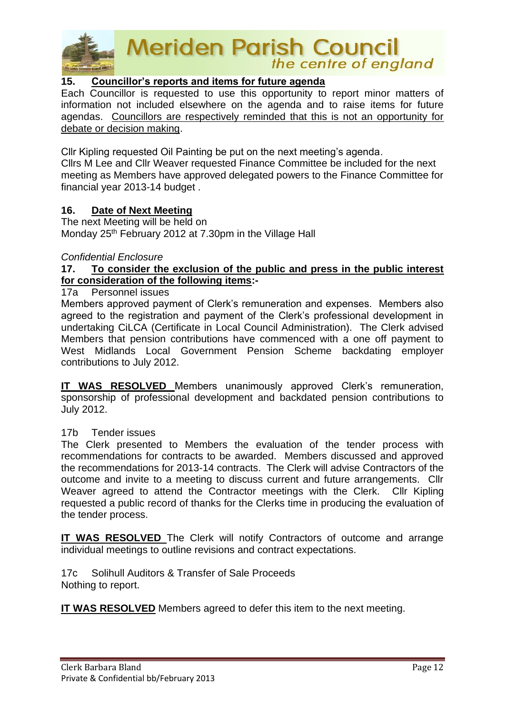

# **15. Councillor's reports and items for future agenda**

Each Councillor is requested to use this opportunity to report minor matters of information not included elsewhere on the agenda and to raise items for future agendas. Councillors are respectively reminded that this is not an opportunity for debate or decision making.

Cllr Kipling requested Oil Painting be put on the next meeting's agenda. Cllrs M Lee and Cllr Weaver requested Finance Committee be included for the next

meeting as Members have approved delegated powers to the Finance Committee for financial year 2013-14 budget .

### **16. Date of Next Meeting**

The next Meeting will be held on Monday 25<sup>th</sup> February 2012 at 7.30pm in the Village Hall

#### *Confidential Enclosure*

# **17. To consider the exclusion of the public and press in the public interest for consideration of the following items:-**

#### 17a Personnel issues

Members approved payment of Clerk's remuneration and expenses. Members also agreed to the registration and payment of the Clerk's professional development in undertaking CiLCA (Certificate in Local Council Administration). The Clerk advised Members that pension contributions have commenced with a one off payment to West Midlands Local Government Pension Scheme backdating employer contributions to July 2012.

**IT WAS RESOLVED** Members unanimously approved Clerk's remuneration, sponsorship of professional development and backdated pension contributions to July 2012.

#### 17b Tender issues

The Clerk presented to Members the evaluation of the tender process with recommendations for contracts to be awarded. Members discussed and approved the recommendations for 2013-14 contracts. The Clerk will advise Contractors of the outcome and invite to a meeting to discuss current and future arrangements. Cllr Weaver agreed to attend the Contractor meetings with the Clerk. Cllr Kipling requested a public record of thanks for the Clerks time in producing the evaluation of the tender process.

**IT WAS RESOLVED** The Clerk will notify Contractors of outcome and arrange individual meetings to outline revisions and contract expectations.

17c Solihull Auditors & Transfer of Sale Proceeds Nothing to report.

**IT WAS RESOLVED** Members agreed to defer this item to the next meeting.